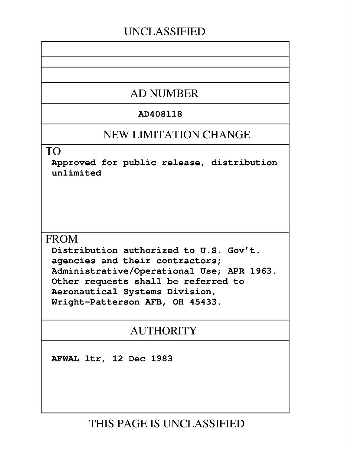# **UNCLASSIFIED**

# **AD NUMBER**

# AD408118

# **NEW LIMITATION CHANGE**

TO

Approved for public release, distribution unlimited

# **FROM**

Distribution authorized to U.S. Gov't. agencies and their contractors; Administrative/Operational Use; APR 1963. Other requests shall be referred to Aeronautical Systems Division, Wright-Patterson AFB, OH 45433.

# AUTHORITY

AFWAL ltr, 12 Dec 1983

**THIS PAGE IS UNCLASSIFIED**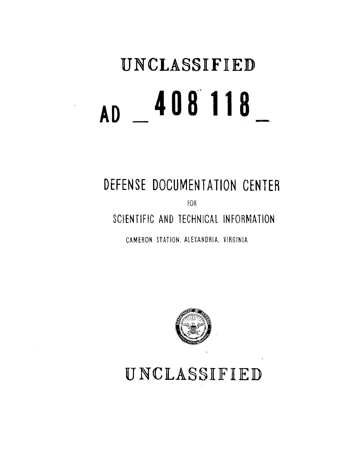# **UNCLASSIFIED AD 408"118**

**DEFENSE DOCUMENTATION CENTER**

FOB

**SCIENTIFIC AND TECHNICAL** INFORMATION

CAMERON STATION, ALEXANDRIA, VIRGINIA



UNCLASSIFIED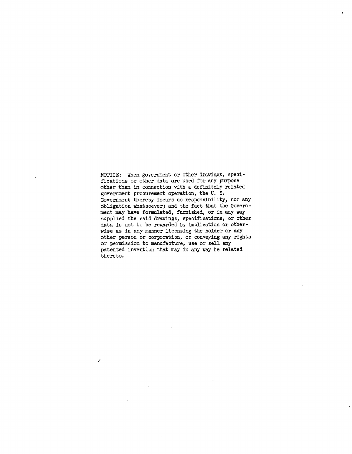NOTICE: When government or other drawings, specifications or other data are used for any purpose other than in connection with a definitely related government procurement operation, the U. S. Government thereby incurs no responsibility, nor any obligation whatsoever; and the fact that the Government may have formnlated, furnished, or in any way supplied the said drawings, specifications, or other data is not to be regarded by implication or otherwise as in any manner licensing the holder or any other person or corporation, or conveying any rights or permission to manufacture, use or sell any patented invention that may in any way be related thereto.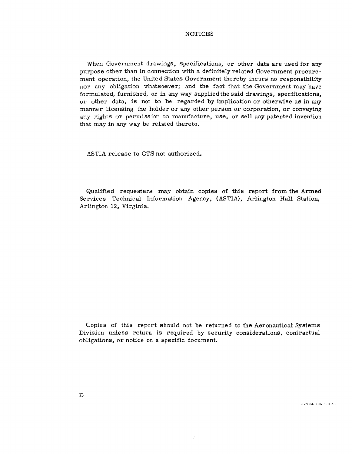## NOTICES

When Government drawings, specifications, or other data are used for any purpose other than in connection with a definitely related Government procurement operation, the United States Government thereby incurs no responsibility nor any obligation whatsoever; and the fact that the Government may have formulated, furnished, or in any way suppliedthe said drawings, specifications, or other data, is not to be regarded by implication or otherwise as in any manner licensing the holder or any other person or corporation, or conveying any rights or permission to manufacture, use, or sell any patented invention that may in any way be related thereto.

ASTIA release to OTS not authorized.

Qualified requesters may obtain copies of this report from the Armed Services Technical Information Agency, (ASTIA), Arlington Hall Station, Arlington 12, Virginia.

Copies of this report should not be returned to the Aeronautical Systems Division unless return is required by security considerations, contractual obligations, or notice on a specific document.

 $\overline{1}$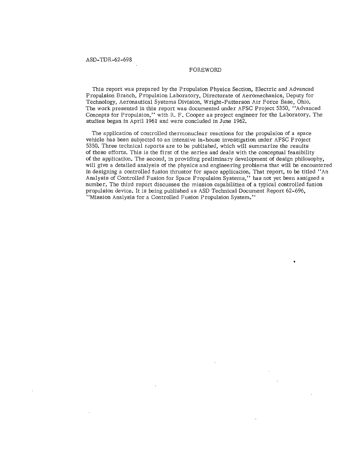## FOREWORD

This report was prepared by the Propulsion Physics Section, Electric and Advanced Propulsion Branch, Propulsion Laboratory, Directorate of Aeromechanics, Deputy for Technology, Aeronautical Systems Division, Wright-Patterson Air Force Base, Ohio. The work presented in this report was documented under AFSC Project 5350, "Advanced Concepts for Propulsion," with R. F. Cooper as project engineer for the Laboratory. The studies began in April 1961 and were concluded in June 1962.

The application of controlled thermonuclear reactions for the propulsion of a space vehicle has been subjected to an intensive in-house investigation under AFSC Project 5350. Three technical reports are to be published, which will summarize the results of these efforts. This is the first of the series and deals with the conceptual feasibility of the application. The second, in providing preliminary development of design philosophy, will give a detailed analysis of the physics and engineering problems that will be encountered in designing a controlled fusion thrustor for space application. That report, to be titled "An Analysis of Controlled Fusion for Space Propulsion Systems," has not yet been assigned a number. The third report discusses the mission capabilities of a typical controlled fusion propulsion device. It is being published as ASD Technical Document Report 62-696, "Mission Analysis for a Controlled Fusion Propulsion System."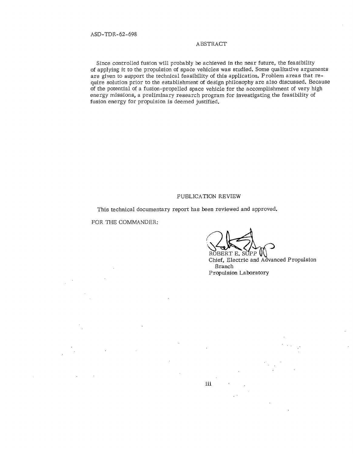## ABSTRACT

Since controlled fusion will probably be achieved in the near future, the feasibility of applying it to the propulsion of space vehicles was studied. Some qualitative arguments are given to support the technical feasibility of this application. Problem areas that require solution prior to the establishment of design philosophy are also discussed. Because of the potential of a fusion-propelled space vehicle for the accomplishment of very high energy missions, a preliminary research program for investigating the feasibility of fusion energy for propulsion is deemed justified.

## PUBLICATION REVIEW

iii

This technical documentary report has been reviewed and approved.

FOR THE COMMANDER:

ROBERT E. SUPP  $\mathsf{U}$ 

Chief, Electric and Advanced Propulsion Branch Propulsion Laboratory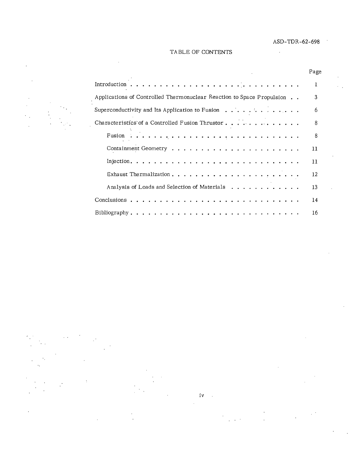$\cdot$ 

Page

# TABLE OF CONTENTS



| Applications of Controlled Thermonuclear Reaction to Space Propulsion<br>3 |  |
|----------------------------------------------------------------------------|--|
| Superconductivity and Its Application to Fusion $\ldots$<br>6              |  |
| Characteristics of a Controlled Fusion Thrustor<br>8                       |  |
| 8                                                                          |  |
| 11                                                                         |  |
| 11                                                                         |  |
| 12                                                                         |  |
| Analysis of Loads and Selection of Materials<br>13                         |  |
| 14                                                                         |  |
| 16                                                                         |  |

iv $\sim$  1.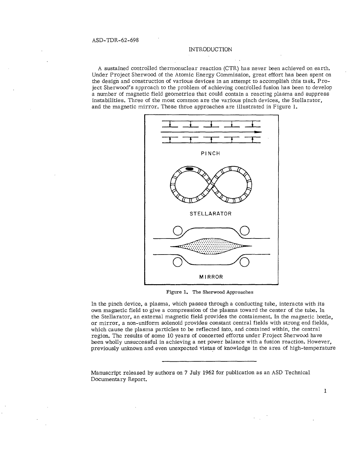# **INTRODUCTION**

A sustained controlled thermonuclear reaction (CTR) has never been achieved on earth. Under Project Sherwood of the Atomic Energy Commission, great effort has been spent on the design and construction of various devices in an attempt to accomplish this task. Project Sherwood's approach to the problem of achieving controlled fusion has been to develop a number of magnetic field geometries that could contain a reacting plasma and suppress instabilities. Three of the most common are the various pinch devices, the Stellarator, and the magnetic mirror. These three approaches are illustrated in Figure 1.



Figure **1.** The Sherwood Approaches

In the pinch device, a plasma, which passes through a conducting tube, interacts with its own magnetic field to give a compression of the plasma toward the center of the tube. In own magnetic field to give a compression of the plasma toward the center of the tube, hi<br>the Stellarator, an external magnetic field provides the containment. In the magnetic bottle or mirror, a non-uniform solenoid provides constant central fields with strong end fields, which cause the plasma particles to be reflected into, and contained within, the central region. The results of some 10 years of concerted efforts under Project Sherwood have been wholly unsuccessful in achieving a net power balance with a fusion reaction. However, previously unknown and even unexpected vistas of knowledge in the area of high-temperature

 $\mathbf{I}$ 

Manuscript released by authors on 7 July 1962 for publication as an ASD Technical Documentary Report.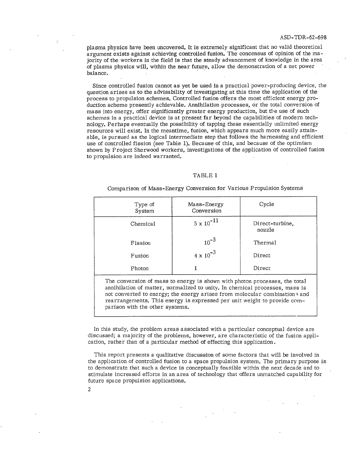plasma physics have been uncovered. It is extremely significant that no valid theoretical argument exists against achieving controlled fusion. The concensus of opinion of the majority of the workers in the field is that the steady advancement of knowledge in the area of plasma physics will, within the near future, allow the demonstration of a net power balance.

Since controlled fusion cannot as yet be used in a practical power-producing device, the question arises as to the advisability of investigating at this time the application of the process to propulsion schemes. Controlled fusion offers the most efficient energy production scheme presently achievable. Annihilation processes, or the total conversion of mass into energy, offer significantly greater energy production, but the use of such schemes in a practical device is at present far beyond the capabilities of modern technology. Perhaps eventually the possibility of tapping these essentially unlimited energy resources will exist. In the meantime, fusion, which appears much more easily attainable, is pursued as the logical intermediate step that follows the harnessing and efficient use of controlled fission (see Table **1).** Because of this, and because of the optimism shown by Project Sherwood workers, investigations of the application of controlled fusion to propulsion are indeed warranted.

#### TABLE 1

Type of Mass-Energy Cycle<br>System Conversion Conversion Chemical  $\vert$  5 x 10<sup>-11</sup>  $\vert$  Direct-turbine, nozzle Fission  $10^{-3}$  Thermal Fusion  $4 \times 10^{-3}$  Direct Photon 1 Direct The conversion of mass to energy is shown with photon processes, the total annihilation of matter, normalized to unity. In chemical processes, mass is not converted to energy; the energy arises from molecular combinations and rearrangements. This energy is expressed per unit weight to provide comparison with the other systems.

Comparison of Mass-Energy Conversion for Various Propulsion Systems

In this study, the problem areas associated with a particular conceptual device are discussed; a majority of the problems, however, are characteristic of the fusion application, rather than of a particular method of effecting this application.

This report presents a qualitative discussion of some factors that will be involved in the application of controlled fusion to a space propulsion system. The primary purpose is to demonstrate that such a device is conceptually feasible within the next decade and to stimulate increased efforts in an area of technology that offers unmatched capability for future space propulsion applications.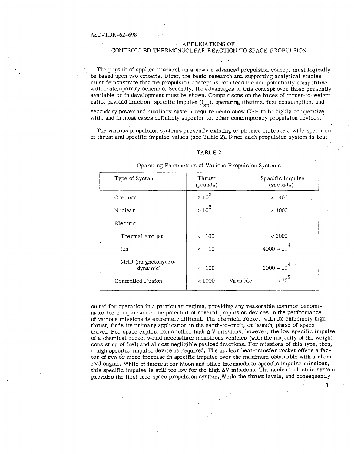#### APPLICATIONS OF

# CONTROLLED THERMONUCLEAR REACTION TO SPACE PROPULSION

The pursuit of applied research on a new or advanced propulsion concept must logically be based upon two criteria. First, the basic research and supporting analytical studies must demonstrate that the propulsion concept is both feasible and potentially competitive with contemporary schemes. Secondly, the advantages of this concept over those presently available or in development must be shown. Comparisons on the bases of thrust-to-weight ratio, payload fraction, specific impulse (I<sub>SD</sub>), operating lifetime, fuel consumption, and

secondary power and auxiliary system requirements show CFP to be highly competitive with, and in most cases definitely superior to, other contemporary propulsion devices.

The various propulsion systems presently existing or planned embrace a wide spectrum of thrust and specific impulse values (see Table 2). Since each propulsion system is best

#### TABLE 2

| Type of System                 | Thrust<br>(pounds) | Specific Impulse<br>(seconds) |
|--------------------------------|--------------------|-------------------------------|
| Chemical                       | $> 10^6$           | < 400                         |
| Nuclear                        | $> 10^5$           | < 1000                        |
| Electric                       |                    |                               |
| Thermal arc jet                | < 100              | < 2000                        |
| Ion                            | 10<br>$\lt$        | $4000 - 10^{4}$               |
| MHD (magnetohydro-<br>dynamic) | < 100              | $2000 \div 10^{4}$            |
| Controlled Fusion              | < 1000             | $-10^5$<br>Variable           |

Operating Parameters of Various Propulsion Systems

suited for operation in a particular regime, providing any reasonable common denominator for comparison of the potential of several propulsion devices in the performance of various missions is extremely difficult. The chemical rocket, with its extremely high thrust, finds its primary application in the earth-to-orbit, or launch, phase of space travel. For space exploration or other high **A** V missions, however, the low specific impulse of a chemical rocket would necessitate monstrous vehicles (with the majority of the weight consisting of fuel) and almost negligible payload fractions. For missions of this type, then, a high specific-impulse device is required. The nuclear heat-transfer rocket offers a factor of two or more increase in specific impulse over the maximum obtainable with a chemical engine. While of interest for Moon and other intermediate specific impulse missions, this specific impulse is still too low for the high  $\Delta V$  missions. The nuclear-electric system provides the first true space propulsion system. While the thrust levels, and consequently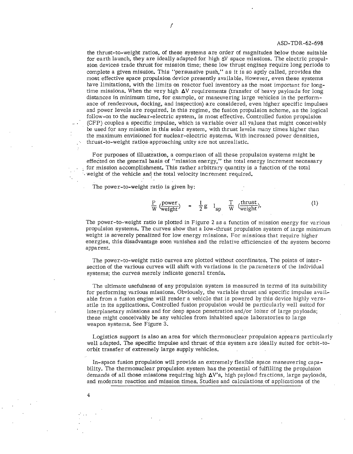the thrust-to-weight ratios, of these systems are order of magnitudes below those suitable for earth launch, they are ideally adapted for high **6V** space missions. The electric propulsion devices trade thrust for mission time; these low thrust engines require long periods to complete a given mission. This "persuasive push," as it is so aptly called, provides the most effective space propulsion device presently available. However, even these systems have limitations, with the limits on reactor fuel inventory as the most important for longtime missions. When the very high  $\Delta V$  requirements (transfer of heavy payloads for long distances in minimum time, for example, or maneuvering large vehicles in the performance of rendezvous, docking, and inspection) are considered, even higher specific impulses and power levels are required. In this regime, the fusion propulsion scheme, as the logical follow-on to the nuclear-electric system, is most effective. Controlled fusion propulsion (CFP) couples a specific impulse, which is variable over all values that might conceivably be used for any mission in this solar system, with thrust levels many times higher than the maximum envisioned for nuclear-electric systems. With increased power densities, thrust-to-weight ratios approaching unity are not unrealistic.

For purposes of illustration, a comparison of all these propulsion systems might be effected on the general basis of "mission energy," the total energy increment necessary for mission accomplishment. This rather arbitrary quantity is a function of the total weight of the vehicle and the total velocity increment required.

The power-to-weight ratio is given by:

$$
\frac{P}{W} \left( \frac{power}{weight} \right) = \frac{1}{2} g I_{sp} \frac{T}{W} \left( \frac{thrust}{weight} \right). \tag{1}
$$

The power-to-weight ratio is plotted in Figure 2 as a function of mission energy for various propulsion systems. The curves show that a low-thrust propulsion system of large minimum weight is severely penalized for low energy missions. For missions that require higher energies, this disadvantage soon vanishes and the relative efficiencies of the system become apparent.

The power-to-weight ratio curves are plotted without coordinates. The points of intersection of the various curves will shift with variations in the parameters of the individual systems; the curves merely indicate general trends.

The ultimate usefulness of any propulsion system is measured in terms of its suitability for performing various missions. Obviously, the variable thrust and specific impulse available from a fusion engine will render a vehicle that is powered by this device highly versatile in its applications. Controlled fusion propulsion would be particularly well suited for interplanetary missions and for deep space penetration and/or loiter of large payloads; these might conceivably be any vehicles from inhabited space laboratories to large weapon systems. See Figure 3.

Logistics support is also an area for which thermonuclear propulsion appears particularly well adapted. The specific impulse and thrust of this system are ideally suited for orbit-toorbit transfer of extremely large supply vehicles.

In-space fusion propulsion will provide an extremely flexible space maneuvering capability. The thermonuclear propulsion system has the potential of fulfilling the propulsion demands of all those missions requiring high  $\Delta V$ 's, high payload fractions, large payloads, and moderate reaction and mission times. Studies and calculations of applications of the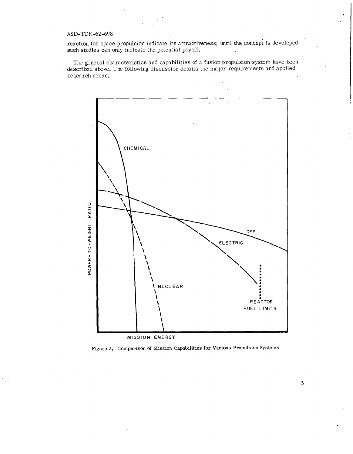reaction for space propulsion indicate its attractiveness; until the concept is developed such studies can only indicate the potential payoff.

The general characteristics and capabilities of a fusion propulsion system have been described above. The following discussion details the major requirements and applied research areas.



Figure **Z.** Comparison of Mission Capabilities for Various Propulsion Systems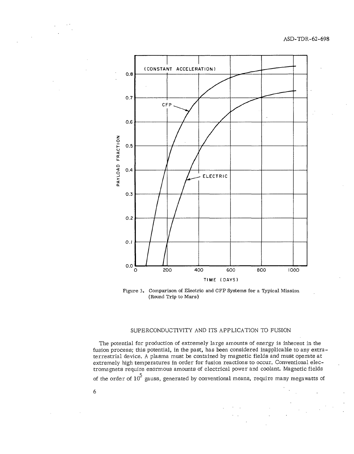

Figure 3. Comparison of Electric and CFP Systems for a Typical Mission (Round Trip to Mars)

# SUPERCONDUCTIVITY AND ITS APPLICATION TO FUSION

The potential for production of extremely large amounts of energy is inherent in the fusion process; this potential, in the past, has been considered inapplicable to any extraterrestrial device. A plasma must be contained by magnetic fields and must operate at extremely high temperatures in order for fusion reactions to occur. Conventional electromagnets require enormous amounts of electrical power and coolant. Magnetic fields of the order of  $10^5$  gauss, generated by conventional means, require many megawatts of

 $\ddot{\phantom{a}}$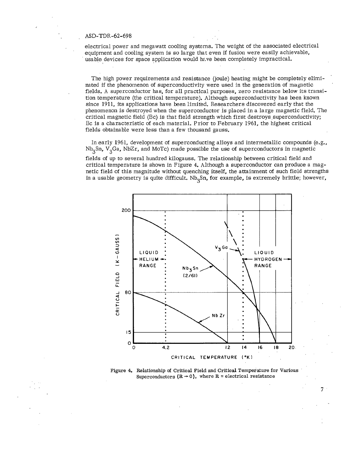electrical power and megawatt cooling systems. The weight of the associated electrical equipment and cooling system is so large that even if fusion were easily achievable, usable devices for space application would have been completely impractical.

The high power requirements and resistance (joule) heating might be completely eliminated if the phenomenon of superconductivity were used in the generation of magnetic fields. A superconductor has, for all practical purposes, zero resistance below its transition temperature (the critical temperature). Although superconductivity has been known since **1911,** its applications have been limited. Researchers discovered early that the phenomenon is destroyed when the superconductor is placed in a large magnetic field. The critical magnetic field (Bc) is that field strength which first destroys superconductivity; Bc is a characteristic of each material. Prior to February 1961, the highest critical fields obtainable were less than a few thousand gauss.

In early 1961, development of superconducting alloys and intermetallic compounds (e.g.,  $Nb<sub>3</sub>Sn$ ,  $V<sub>3</sub>Ga$ , NbZr, and MoTc) made possible the use of superconductors in magnetic

fields of up to several hundred kilogauss. The relationship between critical field and critical temperature is shown in Figure 4. Although a superconductor can produce a magnetic field of this magnitude without quenching itself, the attainment of such field strengths in a usable geometry is quite difficult.  $Nb<sub>3</sub>Sn$ , for example, is extremely brittle; however,



Figure 4. Relationship of Critical Field and Critical Temperature for Various Superconductors  $(R \rightarrow 0)$ , where R = electrical resistance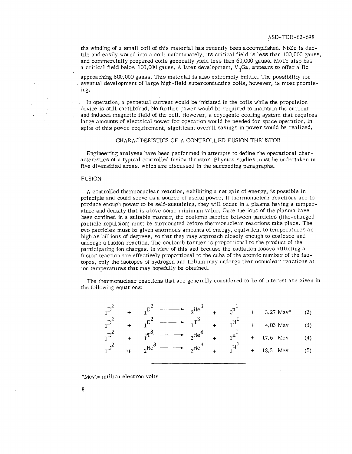the winding of a small coil of this material has recently been accomplished. NbZr is ductile and easily wound into a coil; unfortunately, its critical field is less than 100,000 gauss, and commercially prepared coils generally yield less than 60,000 gauss. MoTc also has a critical field below 100,000 gauss. A later development,  $V<sub>3</sub>Ga$ , appears to offer a Bc

approaching 500,000 gauss. This material is also extremely brittle. The possibility for eventual development of large high-field superconducting coils, however, is most promising.

In operation, a perpetual current would be initiated in the coils while the propulsion device is still earthbound. No further power would be required to maintain the current and induced magnetic field of the coil. However, a cryogenic cooling system that requires large amounts of electrical power for operation would be needed for space operation. In spite of this power requirement, significant overall savings in power would be realized.

#### CHARACTERISTICS OF A CONTROLLED FUSION THRUSTOR

Engineering analyses have been performed in attempts to define the operational characteristics of a typical controlled fusion thrustor. Physics studies must be undertaken in five diversified areas, which are discussed in the succeeding paragraphs.

#### FUSION

A controlled thermonuclear reaction, exhibiting a net gain of energy, is possible in principle and could serve as a source of useful power. If thermonuclear reactions are to produce enough power to be self-sustaining, they will occur in a plasma having a temperature and density that is above some minimum value. Once the ions of the plasma have been confined in a suitable manner, the coulomb barrier between particles (like-charged particle repulsion) must be surmounted before thermonuclear reactions take place. The two particles must be given enormous amounts of energy, equivalent to temperatures as high as billions of degrees, so that they may approach closely enough to coalesce and undergo a fusion reaction. The coulomb barrier is proportional to the product of the participating ion charges. In view of this and because the radiation losses afflicting a fusion reaction are effectively proportional to the cube of the atomic number of the isotopes, only the isotopes of hydrogen and helium may undergo thermonuclear reactions at ion temperatures that may hopefully be obtained.

The thermonuclear reactions that are generally considered to be of interest are given in the following equations:

| $D^2$ |    |                | $heta^3$                              | 0 <sup>n</sup> | 3.27 Mev* | (2)              |
|-------|----|----------------|---------------------------------------|----------------|-----------|------------------|
| $D^2$ |    |                | ಸಾರಿ                                  |                | 4.03 Mev  | (3)              |
| $D^2$ |    | $\mathbb{F}^3$ | $n$ He <sup><math>\alpha</math></sup> | 1 <sup>n</sup> | 17.6 Mev  | $\left(4\right)$ |
| $D^2$ | ۳F | He )           | nHe                                   | $1^{H^*}$      | 18.3 Mev  | (5)              |

\*Mev $\approx$  million electron volts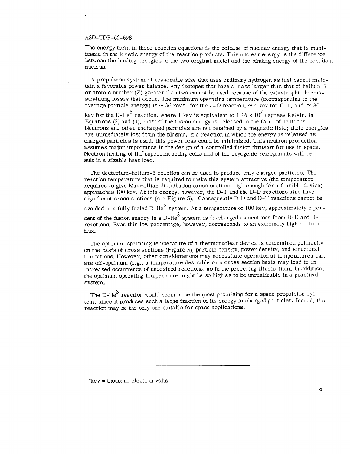The energy term in these reaction equations is the release of nuclear energy that is manifested in the kinetic energy of the reaction products. This nuclear energy is the difference between the binding energies of the two original nuclei and the binding energy of the resuitant nucleus.

A propulsion system of reasonable size that uses ordinary hydrogen as fuel cannot maintain a favorable power balance. Any isotopes that have a mass larger than that of helium- $3$ or atomic number  $(Z)$  greater than two cannot be used because of the catastrophic bremsstrahlung losses that occur. The minimum operating temperature (corresponding to the average particle energy) is  $\sim$  36 kev\* for the  $\sim$ -D reaction,  $\sim$  4 kev for D-T, and  $\sim$  80 key for the D-He<sup>3</sup> reaction, where 1 key is equivalent to 1.16  $\times$  10<sup>7</sup> degrees Kelvin. In Equations (2) and (4), most of the fusion energy is released in the form of neutrons. Neutrons and other uncharged particles are not retained by a magnetic field; their energies are immediately lost from the plasma. If a reaction in which the energy is released as charged particles is used, this power loss could be minimized. This neutron production assumes major importance in the design of a controlled fusion thrustor for use in space. Neutron heating of the' superconducting coils and of the cryogenic refrigerants will result in a sizable heat load.

The deuterium-helium-3 reaction can be used to produce only charged particles. The reaction temperature that is required to make this system attractive (the temperature required to give Maxwellian distribution cross sections high enough for a feasible device) approaches **100** key. At this energy, however, the D-T and the D-D reactions also have significant cross sections (see Figure 5). Consequently D-D and D-T reactions cannot be avoided in a fully fueled D-He<sup>3</sup> system. At a temperature of 100 kev, approximately 5 percent of the fusion energy in a D-He<sup>3</sup> system is discharged as neutrons from D-D and D-T reactions. Even this low percentage, however, corresponds to an extremely high neutron flux.

The optimum operating temperature of a thermonuclear device is determined primarily on the basis of cross sections (Figure 5), particle density, power density, and structural limitations. However, other considerations may necessitate operation at temperatures that are off-optimum (e.g., a temperature desirable on a cross section basis may lead to an increased occurrence of undesired reactions, as in the preceding illustration). In addition, the optimum operating temperature might be so high as to be unrealizable in a practical system.

The D-He $3$  reaction would seem to be the most promising for a space propulsion system, since it produces such a large fraction of its energy in charged particles. Indeed, this reaction may be the only one suitable for space applications.

\*key = thousand electron volts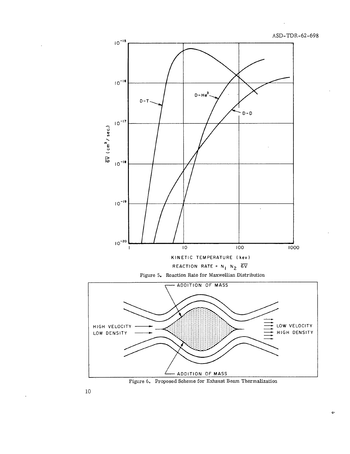

Figure 6. Proposed Scheme for Exhaust Beam Thermalization

 $10$ 

 $\ddot{\phantom{a}}$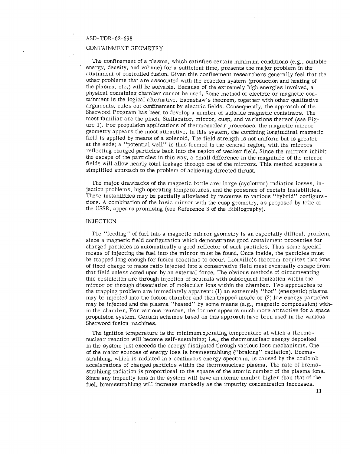## CONTAINMENT GEOMETRY

The confinement of a plasma, which satisfies certain minimum conditions (e.g., suitable energy, density, and volume) for a sufficient time, presents the major problem in the attainment of controlled fusion. Given this confinement researchers generally feel that the other problems that are associated with the reaction system (production and heating of the plasma, etc.) will be solvable. Because of the extremely high energies involved, a physical containing chamber cannot be used. Some method of electric or magnetic containment is the logical alternative. Earnshaw's theorem, together with other qualitative arguments, rules out confinement by electric fields. Consequently, the approach of the Sherwood Program has been to develop a number of suitable magnetic containers. The most familiar are the pinch, Stellarator, mirror, cusp, and variations thereof (see Figure 1). For propulsion applications of thermonuclear processes, the magnetic mirror geometry appears the most attractive. In this system, the confining longitudinal magnetic field is applied by means of a solenoid. The field strength is not uniform but is greater at the ends; a "potential well" is thus formed in the central region, with the mirrors reflecting charged particles back into the region of weaker field. Since the mirrors inhibit the escape of the particles in this way, a small difference in the magnitude of the mirror fields will allow nearly total leakage through one of the mirrors. This method suggests a simplified approach to the problem of achieving directed thrust.

The major drawbacks of the magnetic bottle are: large (cyclotron) radiation losses, injection problems, high operating temperatures, and the presence of certain instabilities. These instabilities may be partially alleviated by recourse to various "hybrid" configurations. A combination of the basic mirror with the cusp geometry, as proposed by loffe of the USSR, appears promising (see Reference 3 of the Bibliography).

#### INJECTION

The "feeding" of fuel into a magnetic mirror geometry is an especially difficult problem, since a magnetic field configuration which demonstrates good containment properties for charged particles is automatically a good reflector of such particles. Thus some special means of injecting the fuel into the mirror must be found. Once inside, the particles must be trapped long enough for fusion reactions to occur. Liouville's theorem requires that ions of fixed charge to mass ratio injected into a conservative field must eventually escape from that field unless acted upon by an external force. The obvious methods of circumventing this restriction are through injection of neutrals with subsequent ionization within the mirror or through dissociation of molecular ions within the chamber. Two approaches to the trapping problem are immediately apparent: (1) an extremely "hot" (energetic) plasma may be injected into the fusion chamber and then trapped inside or (2) low energy particles may be injected and the plasma "heated" by some means (e.g., magnetic compression) within the chamber. For various reasons, the former appears much more attractive for a space propulsion system. Certain schemes based on this approach have been used in the various Sherwood fusion machines.

The ignition temperature is the minimum operating temperature at which a thermonuclear reaction will become self-sustaining; i.e., the thermonuclear energy deposited in the system just exceeds the energy dissipated through various loss mechanisms. One of the major sources of energy loss is bremsstrahlung ("braking" radiation). Bremsstrahlung, which is radiated in a continuous energy spectrum, is caused by the coulomb accelerations of charged particles within the thermonuclear plasma. The rate of bremsstrahlung radiation is proportional to the square of the atomic number of the plasma ions. Since any impurity ions in the system will have an atomic number higher than that of the fuel, bremsstrahlung will increase markedly as the impurity concentration increases.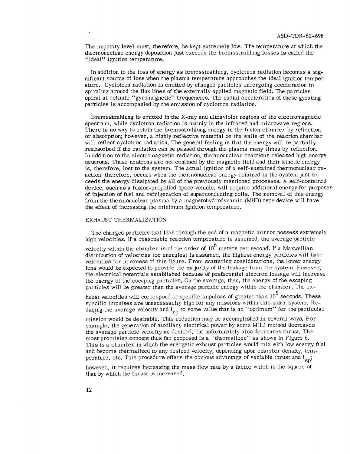The impurity level must, therefore, be kept extremely low. The temperature at which the thermonuclear energy deposition just exceeds the bremsstrahlung losses is called the "ideal" ignition temperature.

In addition to the loss of energy as bremsstrahlung, cyclotron radiation becomes a significant source of loss when the plasma temperature approaches the ideal ignition temperature. Cyclotron radiation is emitted by charged particles undergoing acceleration in spiraling around the flux lines of the externally applied magnetic field. The particles spiral at definite "gyromagnetic" frequencies. The radial acceleration of these gyrating particles is accompanied by the emission of cyclotron radiation.

Bremsstrahlung is emitted in the X-ray and ultraviolet regions of the electromagnetic spectrum, while cyclotron radiation is mainly in the infrared and microwave regions. There is no way to retain the bremsstrahlung energy in the fusion chamber by reflection or absorption; however, a highly reflective material on the walls of the reaction chamber will reflect cyclotron radiation. The general feeling is that the energy will be partially reabsorbed if the radiation can be passed through the plasma many times by reflection. In addition to the electromagnetic radiation, thermonuclear reactions released high energy neutrons. These neutrons are not confined by the magnetic field and their kinetic energy is, therefore, lost to the system. The actual ignition of a self-sustained thermonuclear reaction, therefore, occurs when the thermonuclear energy retained in the system just exceeds the energy dissipated by all of the previously mentioned processes. A self-contained device, such as a fusion-propelled space vehicle, will require additional energy for purposes of injection of fuel and refrigeration of superconducting coils. The removal of this energy from the thermonuclear plasma by a magnetohydrodynamic (MHD) type device will have the effect of increasing the minimum ignition temperature.

#### EXHAUST THERMALIZATION

The charged particles that leak through the end of a magnetic mirror possess extremely high velocities. If a reasonable reaction temperature is assumed, the average particle

velocity within the chamber is of the order of **106** meters per second. If a Maxwellian distribution of velocities (or energies) is assumed, the highest energy particles will have velocities far in excess of this figure. From scattering considerations, the lower energy ions would be expected to provide the majority of the leakage from the system. However, the electrical potentials established because of preferential electron leakage will increase the energy of the escaping particles. On the average, then, the energy of the escaping particles will be greater than the average particle energy within the chamber. The ex-

haust velocities will correspond to specific impulses of greater than 10<sup>5</sup> seconds. These specific impulses are unnecessarily high for any missions within this solar system. Reducing the average velocity and  $I_{\text{sp}}$  to some value that is an "optimum" for the particular

mission would be desirable. This reduction may be accomplished in several ways. For example, the generation of auxiliary electrical power by some MHD method decreases the average particle velocity as desired, but unfortunately also decreases thrust. The most promising concept thus far proposed is a "thermalizer" as shown in Figure 6. This is a chamber in which the energetic exhaust particles would mix with low energy fuel and become thermalized to any desired velocity, depending upon chamber density, temperature, etc. This procedure offers the obvious advantage of variable thrust and I<sub>sp</sub>;

however, it requires increasing the mass flow rate by a factor which is the square of that by which the thrust is increased.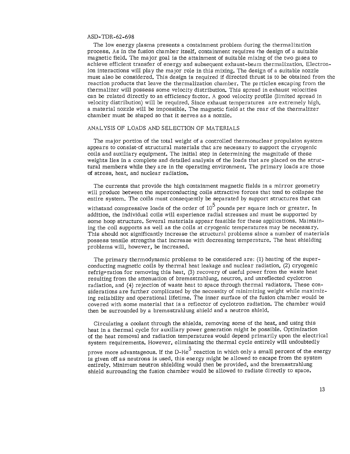The low energy plasma presents a containment problem during the thermalization process. As in the fusion chamber itself, containment requires the design of a suitable magnetic field. The major goal is the attainment of suitable mixing of the two gases to achieve efficient transfer of energy and subsequent exhaust-beam thermalization. Electronion interactions will play the major role in this mixing. The design of a suitable nozzle must also be considered. This design is required if directed thrust is to be obtained from the reaction products that leave the thermalization chamber. The particles escaping from the thermalizer will possess some velocity distribution. This spread in exhaust velocities can be related directly to an efficiency factor. A good velocity profile (limited spread in velocity distribution) will be required. Since exhaust temperatures are extremely high, a material nozzle will be impossible. The magnetic field at the rear of the thermalizer chamber must be shaped so that it serves as a nozzle.

## ANALYSIS OF LOADS AND SELECTION OF MATERIALS

The major portion of the total weight of a controlled thermonuclear propulsion system appears to consist-of structural materials that are necessary to support the cryogenic coils and auxiliary equipment. The initial step in determining the magnitude of these weights lies in a complete and detailed analysis of the loads that are placed on the structural members while they are in the operating environment. The primary loads are those of stress, heat, and nuclear radiation.

The currents that provide the high containment magnetic fields in a mirror geometry will produce between the superconducting coils attractive forces that tend to collapse the entire system. The coils must consequently be separated by support structures that can

withstand compressive loads of the order of  $10^5$  pounds per square inch or greater. In addition, the individual coils will experience radial stresses and must be supported by some hoop structure. Several materials appear feasible for these applications. Maintaining the coil supports as well as the coils at cryogenic temperatures may be necessary. This should not significantly increase the structural problems since a number of materials possess tensile strengths that increase with decreasing temperature. The heat shielding problems will, however, be increased.

The primary thermodynamic problems to be considered are: (1) heating of the superconducting magnetic coils by thermal heat leakage and nuclear radiation, (2) cryogenic refrigeration for removing this heat, (3) recovery of useful power from the waste heat resulting from the attenuation of bremsstrahlung, neutron, and unreflected cyclotron radiation, and (4) rejection of waste heat to space through thermal radiators. These considerations are further complicated by the necessity of minimizing weight while maximizing reliability and operational lifetime. The inner surface of the fusion chamber would be covered with some material that is a reflector of cyclotron radiation. The chamber would then be surrounded by a bremsstrahlung shield and a neutron shield.

Circulating a coolant through the shields, removing some of the heat, and using this heat in a thermal cycle for auxiliary power generation might be possible. Optimization of the heat removal and radiation temperatures would depend primarily upon the electrical system requirements. However, eliminating the thermal cycle entirely will undoubtedly

prove more advantageous. If the D-He<sup>3</sup> reaction in which only a small percent of the energy is given off as neutrons is used, this energy might be allowed to escape from the system entirely. Minimum neutron shielding would then be provided, and the bremsstrahlung shield surrounding the fusion chamber would be allowed to radiate directly to space.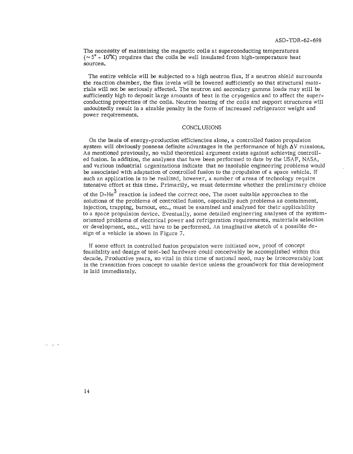The necessity of maintaining the magnetic coils at superconducting temperatures  $({\sim 5^{\circ} - 10^{\circ}K})$  requires that the coils be well insulated from high-temperature heat sources.

The entire vehicle will be subjected to a high neutron flux. If a neutron shield surrounds the reaction chamber, the flux levels will be lowered sufficiently so that structural materials will not be seriously affected. The neutron and secondary gamma loads may still be sufficiently high to deposit large amounts of heat in the cryogenics and to affect the superconducting properties of the coils. Neutron heating of the coils and support structures will undoubtedly result in a sizable penalty in the form of increased refrigerator weight and power requirements.

#### CONCLUSIONS

On the basis of energy-production efficiencies alone, a controlled fusion propulsion system will obviously possess definite advantages in the performance of high  $\Delta V$  missions. As mentioned previously, no valid theoretical argument exists against achieving controlled fusion. In addition, the analyses that have been performed to date by the **USAF,** NASA, and various industrial organizations indicate that no insoluble engineering problems would be associated with adaptation of controlled fusion to the propulsion of a space vehicle. If such an application is to be realized, however, a number of areas of technology require intensive effort at this time. Primarily, we must determine whether the preliminary choice

of the D-He $3$  reaction is indeed the correct one. The most suitable approaches to the solutions of the problems of controlled fusion, especially such problems as containment, injection, trapping, burnout, etc., must be examined and analyzed for their applicability to a space propulsion device. Eventually, some detailed engineering analyses of the systemoriented problems of electrical power and refrigeration requirements, materials selection or development, etc., will have to be performed. An imaginative sketch of a possible design of a vehicle is shown in Figure 7.

If some effort in controlled fusion propulsion were initiated now, proof of concept feasibility and design of test-bed hardware could conceivably be accomplished within this decade. Productive years, so vital in this time of national need, may be irrecoverably lost in the transition from concept to usable device unless the groundwork for this development is laid immediately.

ماليا بدا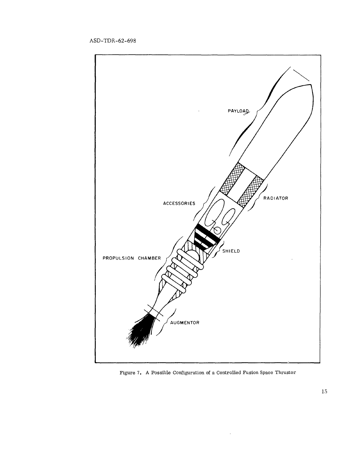

Figure **7.** A Possible Configuration of a Controlled Fusion Space Thrustor

 $\epsilon$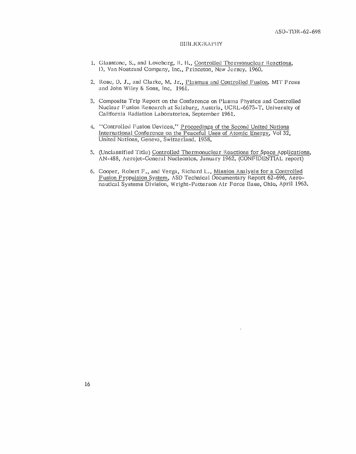#### t31131.1()(;RA **I) II** Y

- 1. Glasstone, S., and Loveberg, R. H., Controlled Thermonuclear Reactions, **1).** Van Nostrand Company, Inc., Princeton, New Jersey. 1960.
- 2. Rose, D. J., and Clarke, M. Jr., Plasmas and Controlled Fusion. MIT Press and John Wiley & Sons, Inc. 1961.
- 3. Composite Trip Report on the Conference on Plasma Physics and Controlled Nuclear Fusion Research at Salzburg, Austria, UCRL-6675-T. University of California Radiation Laboratories. September 1961.
- 4. "Controlled Fusion Devices," Proceedings of the Second United Nations International Conference on the Peaceful Uses of Atomic Energy, Vol 32, United Nations, Geneva, Switzerland. 1958.
- 5. (Unclassified Title) Controlled Thermonuclear Reactions for Space Applications, AN-488, Aerojet-General Nucleonics. January 1962. (CONFIDENTIAL report)
- 6. Cooper, Robert F., and Verga, Richard L., Mission Analysis for a Controlled Fusion Propulsion System, ASD Technical Documentary Report 62-696, Aeronautical Systems Division, Wright-Patterson Air Force Base, Ohio. April 1963.